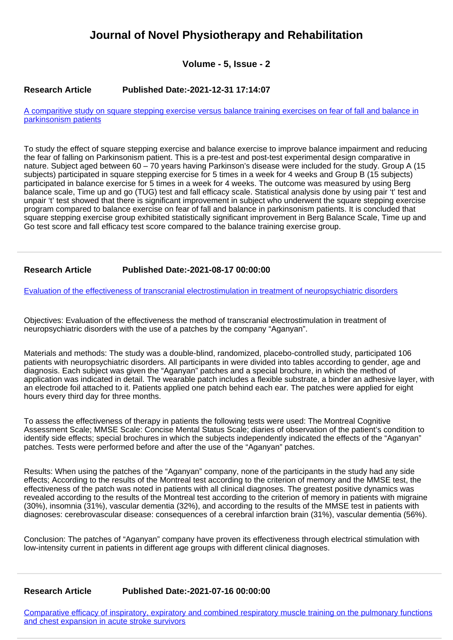## **Journal of Novel Physiotherapy and Rehabilitation**

**Volume - 5, Issue - 2**

## **Research Article Published Date:-2021-12-31 17:14:07**

[A comparitive study on square stepping exercise versus balance training exercises on fear of fall and balance in](https://www.rehabilityjournal.com/articles/jnpr-aid1042.pdf) [parkinsonism patients](https://www.rehabilityjournal.com/articles/jnpr-aid1042.pdf)

To study the effect of square stepping exercise and balance exercise to improve balance impairment and reducing the fear of falling on Parkinsonism patient. This is a pre-test and post-test experimental design comparative in nature. Subject aged between 60 – 70 years having Parkinson's disease were included for the study. Group A (15 subjects) participated in square stepping exercise for 5 times in a week for 4 weeks and Group B (15 subjects) participated in balance exercise for 5 times in a week for 4 weeks. The outcome was measured by using Berg balance scale, Time up and go (TUG) test and fall efficacy scale. Statistical analysis done by using pair 't' test and unpair 't' test showed that there is significant improvement in subject who underwent the square stepping exercise program compared to balance exercise on fear of fall and balance in parkinsonism patients. It is concluded that square stepping exercise group exhibited statistically significant improvement in Berg Balance Scale, Time up and Go test score and fall efficacy test score compared to the balance training exercise group.

## **Research Article Published Date:-2021-08-17 00:00:00**

[Evaluation of the effectiveness of transcranial electrostimulation in treatment of neuropsychiatric disorders](https://www.rehabilityjournal.com/articles/jnpr-aid1041.pdf)

Objectives: Evaluation of the effectiveness the method of transcranial electrostimulation in treatment of neuropsychiatric disorders with the use of a patches by the company "Aganyan".

Materials and methods: The study was a double-blind, randomized, placebo-controlled study, participated 106 patients with neuropsychiatric disorders. All participants in were divided into tables according to gender, age and diagnosis. Each subject was given the "Aganyan" patches and a special brochure, in which the method of application was indicated in detail. The wearable patch includes a flexible substrate, a binder an adhesive layer, with an electrode foil attached to it. Patients applied one patch behind each ear. The patches were applied for eight hours every third day for three months.

To assess the effectiveness of therapy in patients the following tests were used: The Montreal Cognitive Assessment Scale; MMSE Scale: Concise Mental Status Scale; diaries of observation of the patient's condition to identify side effects; special brochures in which the subjects independently indicated the effects of the "Aganyan" patches. Tests were performed before and after the use of the "Aganyan" patches.

Results: When using the patches of the "Aganyan" company, none of the participants in the study had any side effects; According to the results of the Montreal test according to the criterion of memory and the MMSE test, the effectiveness of the patch was noted in patients with all clinical diagnoses. The greatest positive dynamics was revealed according to the results of the Montreal test according to the criterion of memory in patients with migraine (30%), insomnia (31%), vascular dementia (32%), and according to the results of the MMSE test in patients with diagnoses: cerebrovascular disease: consequences of a cerebral infarction brain (31%), vascular dementia (56%).

Conclusion: The patches of "Aganyan" company have proven its effectiveness through electrical stimulation with low-intensity current in patients in different age groups with different clinical diagnoses.

## **Research Article Published Date:-2021-07-16 00:00:00**

[Comparative efficacy of inspiratory, expiratory and combined respiratory muscle training on the pulmonary functions](https://www.rehabilityjournal.com/articles/jnpr-aid1040.pdf) [and chest expansion in acute stroke survivors](https://www.rehabilityjournal.com/articles/jnpr-aid1040.pdf)